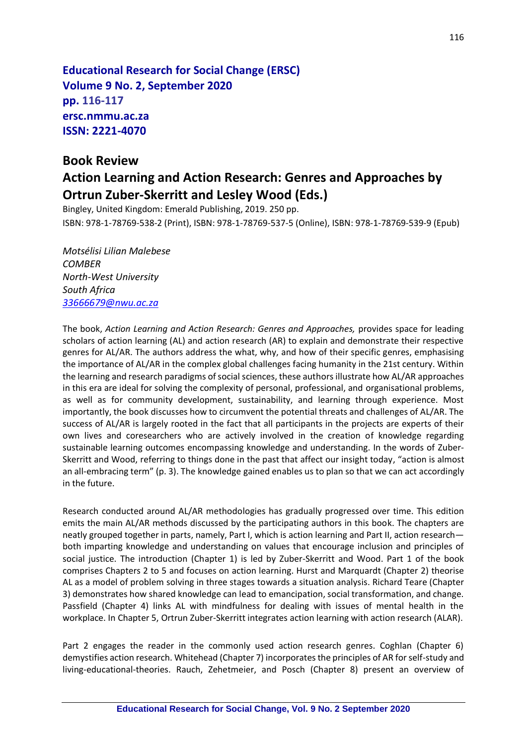**Educational Research for Social Change (ERSC) Volume 9 No. 2, September 2020 pp. 116-117 ersc.nmmu.ac.za ISSN: 2221-4070**

## **Book Review**

## **Action Learning and Action Research: Genres and Approaches by Ortrun Zuber-Skerritt and Lesley Wood (Eds.)**

Bingley, United Kingdom: Emerald Publishing, 2019. 250 pp. ISBN: 978-1-78769-538-2 (Print), ISBN: 978-1-78769-537-5 (Online), ISBN: 978-1-78769-539-9 (Epub)

*Motsélisi Lilian Malebese COMBER North-West University South Africa [33666679@nwu.ac.za](mailto:33666679@nwu.ac.za)*

The book, *Action Learning and Action Research: Genres and Approaches,* provides space for leading scholars of action learning (AL) and action research (AR) to explain and demonstrate their respective genres for AL/AR. The authors address the what, why, and how of their specific genres, emphasising the importance of AL/AR in the complex global challenges facing humanity in the 21st century. Within the learning and research paradigms of social sciences, these authorsillustrate how AL/AR approaches in this era are ideal for solving the complexity of personal, professional, and organisational problems, as well as for community development, sustainability, and learning through experience. Most importantly, the book discusses how to circumvent the potential threats and challenges of AL/AR. The success of AL/AR is largely rooted in the fact that all participants in the projects are experts of their own lives and coresearchers who are actively involved in the creation of knowledge regarding sustainable learning outcomes encompassing knowledge and understanding. In the words of Zuber-Skerritt and Wood, referring to things done in the past that affect our insight today, "action is almost an all-embracing term" (p. 3). The knowledge gained enables us to plan so that we can act accordingly in the future.

Research conducted around AL/AR methodologies has gradually progressed over time. This edition emits the main AL/AR methods discussed by the participating authors in this book. The chapters are neatly grouped together in parts, namely, Part I, which is action learning and Part II, action research both imparting knowledge and understanding on values that encourage inclusion and principles of social justice. The introduction (Chapter 1) is led by Zuber-Skerritt and Wood. Part 1 of the book comprises Chapters 2 to 5 and focuses on action learning. Hurst and Marquardt (Chapter 2) theorise AL as a model of problem solving in three stages towards a situation analysis. Richard Teare (Chapter 3) demonstrates how shared knowledge can lead to emancipation, social transformation, and change. Passfield (Chapter 4) links AL with mindfulness for dealing with issues of mental health in the workplace. In Chapter 5, Ortrun Zuber-Skerritt integrates action learning with action research (ALAR).

Part 2 engages the reader in the commonly used action research genres. Coghlan (Chapter 6) demystifies action research. Whitehead (Chapter 7) incorporates the principles of AR for self-study and living-educational-theories. Rauch, Zehetmeier, and Posch (Chapter 8) present an overview of